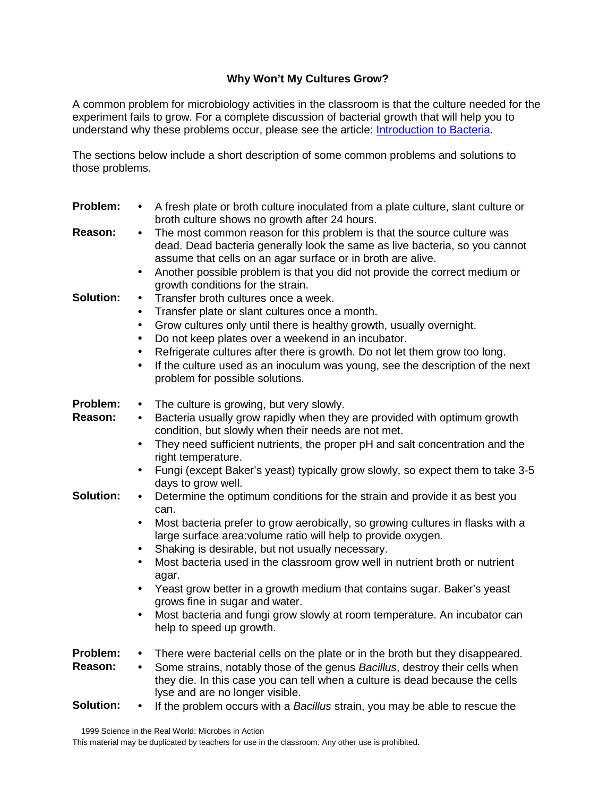## **Why Won't My Cultures Grow?**

A common problem for microbiology activities in the classroom is that the culture needed for the experiment fails to grow. For a complete discussion of bacterial growth that will help you to understand why these problems occur, please see the article: [Introduction to Bacteria.](http://www.umsl.edu/~microbes/introductiontobacteria.pdf)

The sections below include a short description of some common problems and solutions to those problems.

| Problem:         | A fresh plate or broth culture inoculated from a plate culture, slant culture or<br>broth culture shows no growth after 24 hours.                                                                                                 |
|------------------|-----------------------------------------------------------------------------------------------------------------------------------------------------------------------------------------------------------------------------------|
| Reason:          | The most common reason for this problem is that the source culture was<br>$\bullet$<br>dead. Dead bacteria generally look the same as live bacteria, so you cannot<br>assume that cells on an agar surface or in broth are alive. |
|                  | Another possible problem is that you did not provide the correct medium or<br>$\bullet$<br>growth conditions for the strain.                                                                                                      |
| Solution:        | Transfer broth cultures once a week.                                                                                                                                                                                              |
|                  | Transfer plate or slant cultures once a month.<br>$\bullet$                                                                                                                                                                       |
|                  | Grow cultures only until there is healthy growth, usually overnight.<br>$\bullet$                                                                                                                                                 |
|                  | Do not keep plates over a weekend in an incubator.<br>$\bullet$                                                                                                                                                                   |
|                  | Refrigerate cultures after there is growth. Do not let them grow too long.<br>$\bullet$                                                                                                                                           |
|                  | If the culture used as an inoculum was young, see the description of the next<br>$\bullet$<br>problem for possible solutions.                                                                                                     |
| Problem:         | The culture is growing, but very slowly.<br>$\bullet$                                                                                                                                                                             |
| Reason:          | Bacteria usually grow rapidly when they are provided with optimum growth<br>$\bullet$<br>condition, but slowly when their needs are not met.                                                                                      |
|                  | They need sufficient nutrients, the proper pH and salt concentration and the<br>$\bullet$<br>right temperature.                                                                                                                   |
|                  | Fungi (except Baker's yeast) typically grow slowly, so expect them to take 3-5<br>$\bullet$<br>days to grow well.                                                                                                                 |
| <b>Solution:</b> | Determine the optimum conditions for the strain and provide it as best you<br>$\bullet$<br>can.                                                                                                                                   |
|                  | Most bacteria prefer to grow aerobically, so growing cultures in flasks with a<br>large surface area: volume ratio will help to provide oxygen.                                                                                   |
|                  | Shaking is desirable, but not usually necessary.                                                                                                                                                                                  |
|                  | Most bacteria used in the classroom grow well in nutrient broth or nutrient<br>agar.                                                                                                                                              |
|                  | Yeast grow better in a growth medium that contains sugar. Baker's yeast<br>grows fine in sugar and water.                                                                                                                         |
|                  | Most bacteria and fungi grow slowly at room temperature. An incubator can<br>help to speed up growth.                                                                                                                             |
| Problem:         | There were bacterial cells on the plate or in the broth but they disappeared.<br>$\bullet$                                                                                                                                        |
| Reason:          | Some strains, notably those of the genus Bacillus, destroy their cells when<br>$\bullet$<br>they die. In this case you can tell when a culture is dead because the cells<br>lyse and are no longer visible.                       |
| <b>Solution:</b> | If the problem occurs with a Bacillus strain, you may be able to rescue the                                                                                                                                                       |

This material may be duplicated by teachers for use in the classroom. Any other use is prohibited.